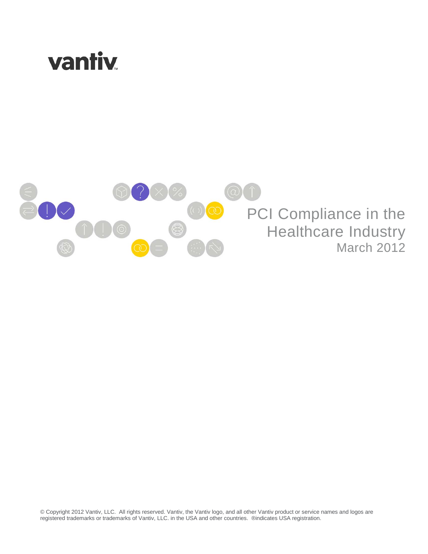



© Copyright 2012 Vantiv, LLC. All rights reserved. Vantiv, the Vantiv logo, and all other Vantiv product or service names and logos are registered trademarks or trademarks of Vantiv, LLC. in the USA and other countries. ®indicates USA registration.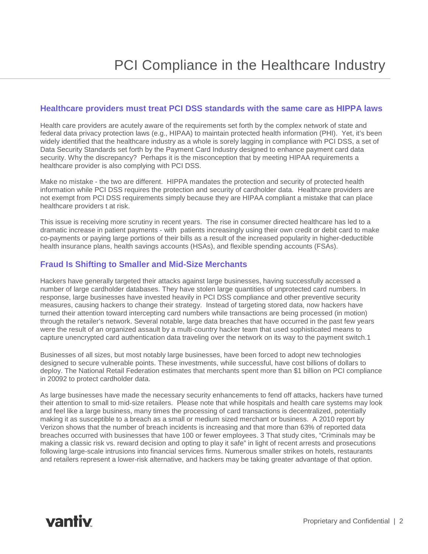#### **Healthcare providers must treat PCI DSS standards with the same care as HIPPA laws**

Health care providers are acutely aware of the requirements set forth by the complex network of state and federal data privacy protection laws (e.g., HIPAA) to maintain protected health information (PHI). Yet, it's been widely identified that the healthcare industry as a whole is sorely lagging in compliance with PCI DSS, a set of Data Security Standards set forth by the Payment Card Industry designed to enhance payment card data security. Why the discrepancy? Perhaps it is the misconception that by meeting HIPAA requirements a healthcare provider is also complying with PCI DSS.

Make no mistake - the two are different. HIPPA mandates the protection and security of protected health information while PCI DSS requires the protection and security of cardholder data. Healthcare providers are not exempt from PCI DSS requirements simply because they are HIPAA compliant a mistake that can place healthcare providers t at risk.

This issue is receiving more scrutiny in recent years. The rise in consumer directed healthcare has led to a dramatic increase in patient payments - with patients increasingly using their own credit or debit card to make co-payments or paying large portions of their bills as a result of the increased popularity in higher-deductible health insurance plans, health savings accounts (HSAs), and flexible spending accounts (FSAs).

#### **Fraud Is Shifting to Smaller and Mid-Size Merchants**

Hackers have generally targeted their attacks against large businesses, having successfully accessed a number of large cardholder databases. They have stolen large quantities of unprotected card numbers. In response, large businesses have invested heavily in PCI DSS compliance and other preventive security measures, causing hackers to change their strategy. Instead of targeting stored data, now hackers have turned their attention toward intercepting card numbers while transactions are being processed (in motion) through the retailer's network. Several notable, large data breaches that have occurred in the past few years were the result of an organized assault by a multi-country hacker team that used sophisticated means to capture unencrypted card authentication data traveling over the network on its way to the payment switch.1

Businesses of all sizes, but most notably large businesses, have been forced to adopt new technologies designed to secure vulnerable points. These investments, while successful, have cost billions of dollars to deploy. The National Retail Federation estimates that merchants spent more than \$1 billion on PCI compliance in 20092 to protect cardholder data.

As large businesses have made the necessary security enhancements to fend off attacks, hackers have turned their attention to small to mid-size retailers. Please note that while hospitals and health care systems may look and feel like a large business, many times the processing of card transactions is decentralized, potentially making it as susceptible to a breach as a small or medium sized merchant or business. A 2010 report by Verizon shows that the number of breach incidents is increasing and that more than 63% of reported data breaches occurred with businesses that have 100 or fewer employees. 3 That study cites, "Criminals may be making a classic risk vs. reward decision and opting to play it safe" in light of recent arrests and prosecutions following large-scale intrusions into financial services firms. Numerous smaller strikes on hotels, restaurants and retailers represent a lower-risk alternative, and hackers may be taking greater advantage of that option.